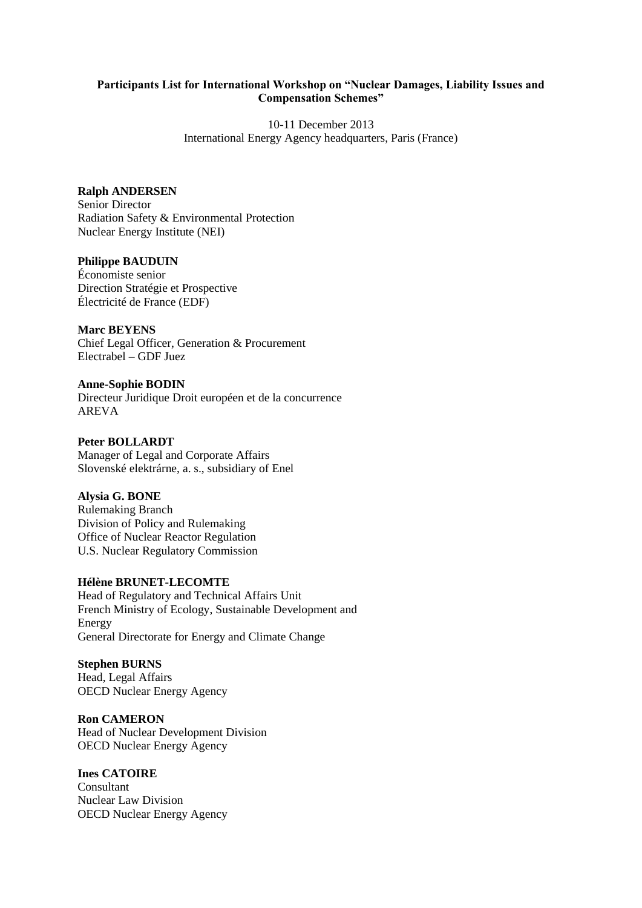#### **Participants List for International Workshop on "Nuclear Damages, Liability Issues and Compensation Schemes"**

10-11 December 2013 International Energy Agency headquarters, Paris (France)

#### **Ralph ANDERSEN**

Senior Director Radiation Safety & Environmental Protection Nuclear Energy Institute (NEI)

## **Philippe BAUDUIN**

Économiste senior Direction Stratégie et Prospective Électricité de France (EDF)

**Marc BEYENS** Chief Legal Officer, Generation & Procurement Electrabel – GDF Juez

**Anne-Sophie BODIN** Directeur Juridique Droit européen et de la concurrence AREVA

**Peter BOLLARDT** Manager of Legal and Corporate Affairs Slovenské elektrárne, a. s., subsidiary of Enel

## **Alysia G. BONE** Rulemaking Branch Division of Policy and Rulemaking Office of Nuclear Reactor Regulation U.S. Nuclear Regulatory Commission

## **Hélène BRUNET-LECOMTE**

Head of Regulatory and Technical Affairs Unit French Ministry of Ecology, Sustainable Development and Energy General Directorate for Energy and Climate Change

#### **Stephen BURNS**

Head, Legal Affairs OECD Nuclear Energy Agency

**Ron CAMERON** Head of Nuclear Development Division OECD Nuclear Energy Agency

## **Ines CATOIRE**

Consultant Nuclear Law Division OECD Nuclear Energy Agency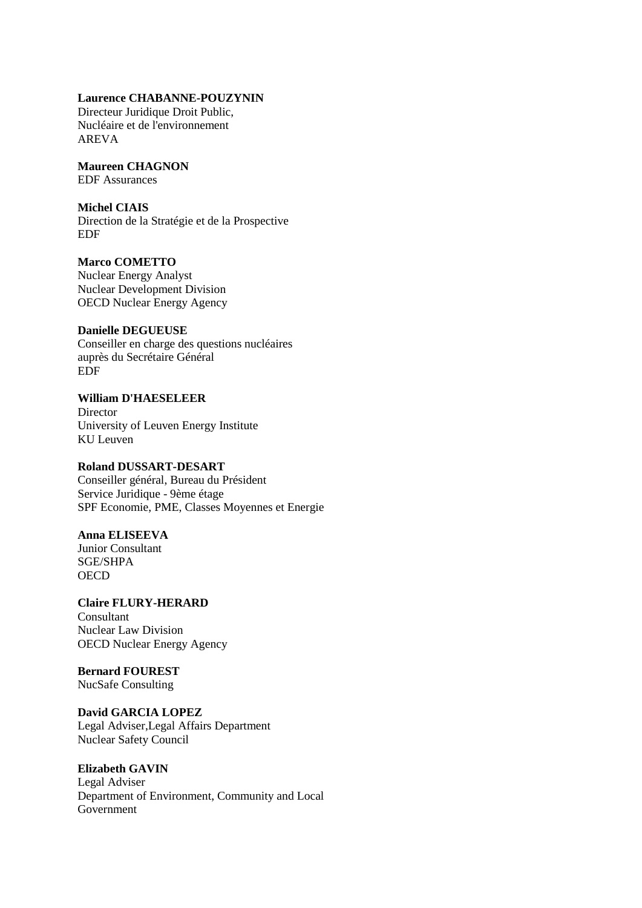#### **Laurence CHABANNE-POUZYNIN**

Directeur Juridique Droit Public, Nucléaire et de l'environnement AREVA

# **Maureen CHAGNON**

EDF Assurances

# **Michel CIAIS**

Direction de la Stratégie et de la Prospective EDF

## **Marco COMETTO**

Nuclear Energy Analyst Nuclear Development Division OECD Nuclear Energy Agency

## **Danielle DEGUEUSE**

Conseiller en charge des questions nucléaires auprès du Secrétaire Général EDF

## **William D'HAESELEER**

**Director** University of Leuven Energy Institute KU Leuven

## **Roland DUSSART-DESART**

Conseiller général, Bureau du Président Service Juridique - 9ème étage SPF Economie, PME, Classes Moyennes et Energie

## **Anna ELISEEVA**

Junior Consultant SGE/SHPA **OECD** 

# **Claire FLURY-HERARD** Consultant

Nuclear Law Division OECD Nuclear Energy Agency

# **Bernard FOUREST**

NucSafe Consulting

## **David GARCIA LOPEZ**

Legal Adviser,Legal Affairs Department Nuclear Safety Council

## **Elizabeth GAVIN**

Legal Adviser Department of Environment, Community and Local Government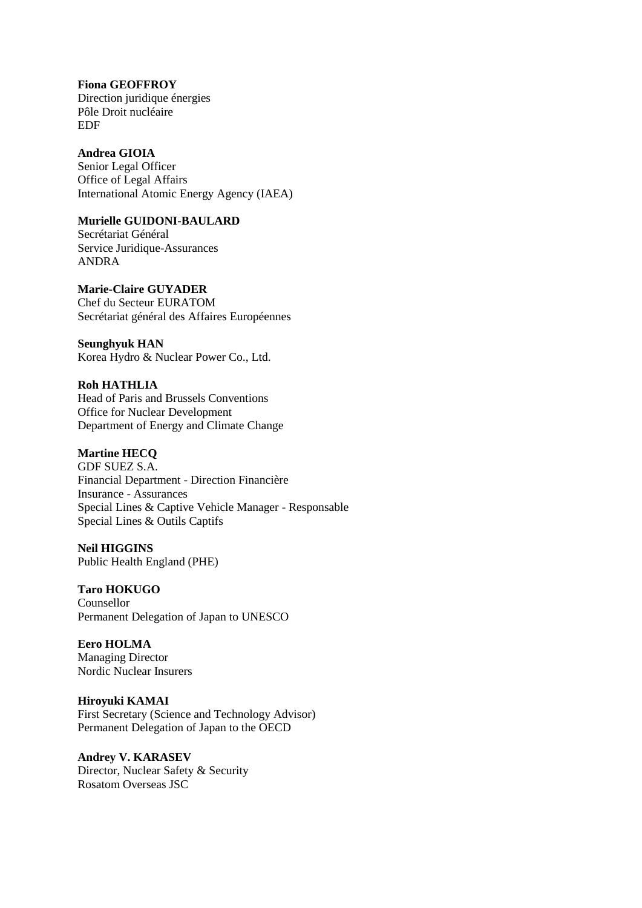**Fiona GEOFFROY** Direction juridique énergies Pôle Droit nucléaire EDF

**Andrea GIOIA** Senior Legal Officer Office of Legal Affairs International Atomic Energy Agency (IAEA)

## **Murielle GUIDONI-BAULARD**

Secrétariat Général Service Juridique-Assurances ANDRA

**Marie-Claire GUYADER** Chef du Secteur EURATOM Secrétariat général des Affaires Européennes

**Seunghyuk HAN** Korea Hydro & Nuclear Power Co., Ltd.

**Roh HATHLIA** Head of Paris and Brussels Conventions Office for Nuclear Development Department of Energy and Climate Change

**Martine HECQ**

GDF SUEZ S.A. Financial Department - Direction Financière Insurance - Assurances Special Lines & Captive Vehicle Manager - Responsable Special Lines & Outils Captifs

**Neil HIGGINS** Public Health England (PHE)

**Taro HOKUGO**

Counsellor Permanent Delegation of Japan to UNESCO

**Eero HOLMA** Managing Director Nordic Nuclear Insurers

**Hiroyuki KAMAI** First Secretary (Science and Technology Advisor) Permanent Delegation of Japan to the OECD

**Andrey V. KARASEV** Director, Nuclear Safety & Security Rosatom Overseas JSC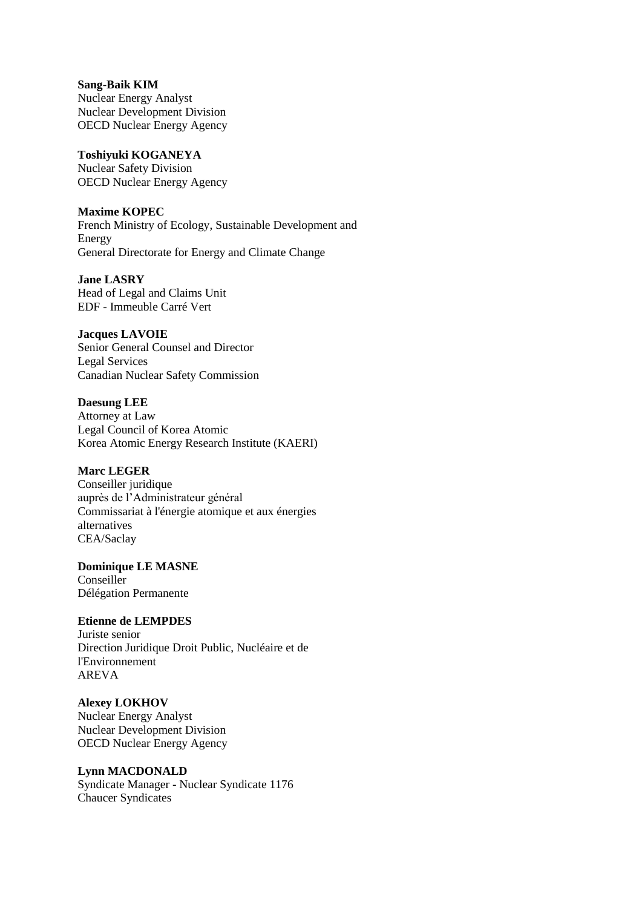**Sang-Baik KIM** Nuclear Energy Analyst Nuclear Development Division OECD Nuclear Energy Agency

## **Toshiyuki KOGANEYA**

Nuclear Safety Division OECD Nuclear Energy Agency

## **Maxime KOPEC**

French Ministry of Ecology, Sustainable Development and Energy General Directorate for Energy and Climate Change

**Jane LASRY**

Head of Legal and Claims Unit EDF - Immeuble Carré Vert

## **Jacques LAVOIE**

Senior General Counsel and Director Legal Services Canadian Nuclear Safety Commission

## **Daesung LEE**

Attorney at Law Legal Council of Korea Atomic Korea Atomic Energy Research Institute (KAERI)

## **Marc LEGER**

Conseiller juridique auprès de l'Administrateur général Commissariat à l'énergie atomique et aux énergies alternatives CEA/Saclay

## **Dominique LE MASNE**

Conseiller Délégation Permanente

## **Etienne de LEMPDES**

Juriste senior Direction Juridique Droit Public, Nucléaire et de l'Environnement AREVA

## **Alexey LOKHOV**

Nuclear Energy Analyst Nuclear Development Division OECD Nuclear Energy Agency

## **Lynn MACDONALD**

Syndicate Manager - Nuclear Syndicate 1176 Chaucer Syndicates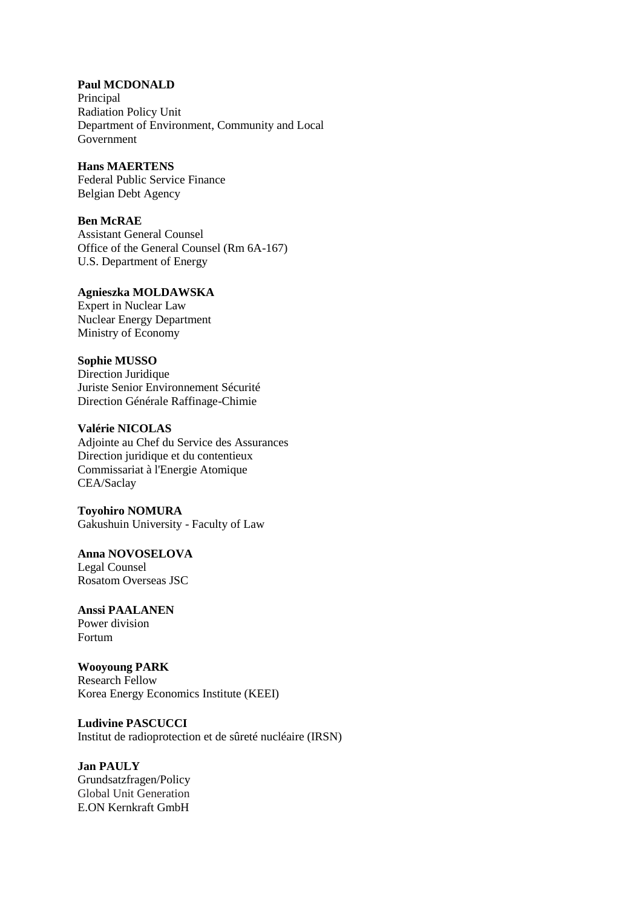**Paul MCDONALD** Principal Radiation Policy Unit Department of Environment, Community and Local Government

**Hans MAERTENS** Federal Public Service Finance Belgian Debt Agency

#### **Ben McRAE**

Assistant General Counsel Office of the General Counsel (Rm 6A-167) U.S. Department of Energy

## **Agnieszka MOLDAWSKA**

Expert in Nuclear Law Nuclear Energy Department Ministry of Economy

#### **Sophie MUSSO**

Direction Juridique Juriste Senior Environnement Sécurité Direction Générale Raffinage-Chimie

#### **Valérie NICOLAS**

Adjointe au Chef du Service des Assurances Direction juridique et du contentieux Commissariat à l'Energie Atomique CEA/Saclay

**Toyohiro NOMURA** Gakushuin University - Faculty of Law

**Anna NOVOSELOVA** Legal Counsel Rosatom Overseas JSC

**Anssi PAALANEN** Power division Fortum

**Wooyoung PARK** Research Fellow Korea Energy Economics Institute (KEEI)

**Ludivine PASCUCCI** Institut de radioprotection et de sûreté nucléaire (IRSN)

**Jan PAULY** Grundsatzfragen/Policy Global Unit Generation E.ON Kernkraft GmbH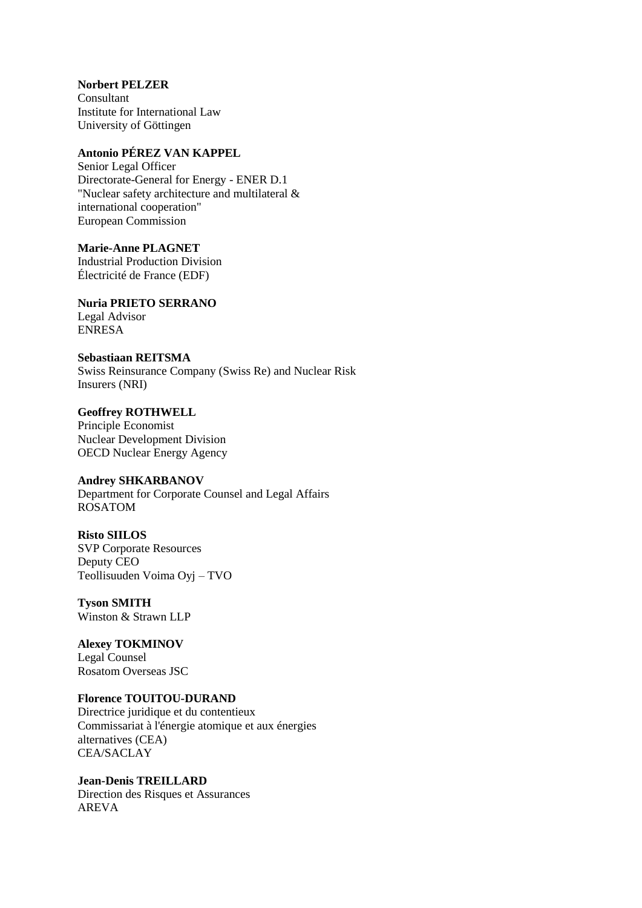**Norbert PELZER** Consultant Institute for International Law University of Göttingen

## **Antonio PÉREZ VAN KAPPEL**

Senior Legal Officer Directorate-General for Energy - ENER D.1 "Nuclear safety architecture and multilateral & international cooperation" European Commission

**Marie-Anne PLAGNET** Industrial Production Division Électricité de France (EDF)

**Nuria PRIETO SERRANO** Legal Advisor ENRESA

**Sebastiaan REITSMA** Swiss Reinsurance Company (Swiss Re) and Nuclear Risk Insurers (NRI)

**Geoffrey ROTHWELL** Principle Economist Nuclear Development Division OECD Nuclear Energy Agency

## **Andrey SHKARBANOV**

Department for Corporate Counsel and Legal Affairs ROSATOM

**Risto SIILOS** SVP Corporate Resources Deputy CEO Teollisuuden Voima Oyj – TVO

**Tyson SMITH** Winston & Strawn LLP

**Alexey TOKMINOV** Legal Counsel Rosatom Overseas JSC

## **Florence TOUITOU-DURAND**

Directrice juridique et du contentieux Commissariat à l'énergie atomique et aux énergies alternatives (CEA) CEA/SACLAY

**Jean-Denis TREILLARD** Direction des Risques et Assurances AREVA